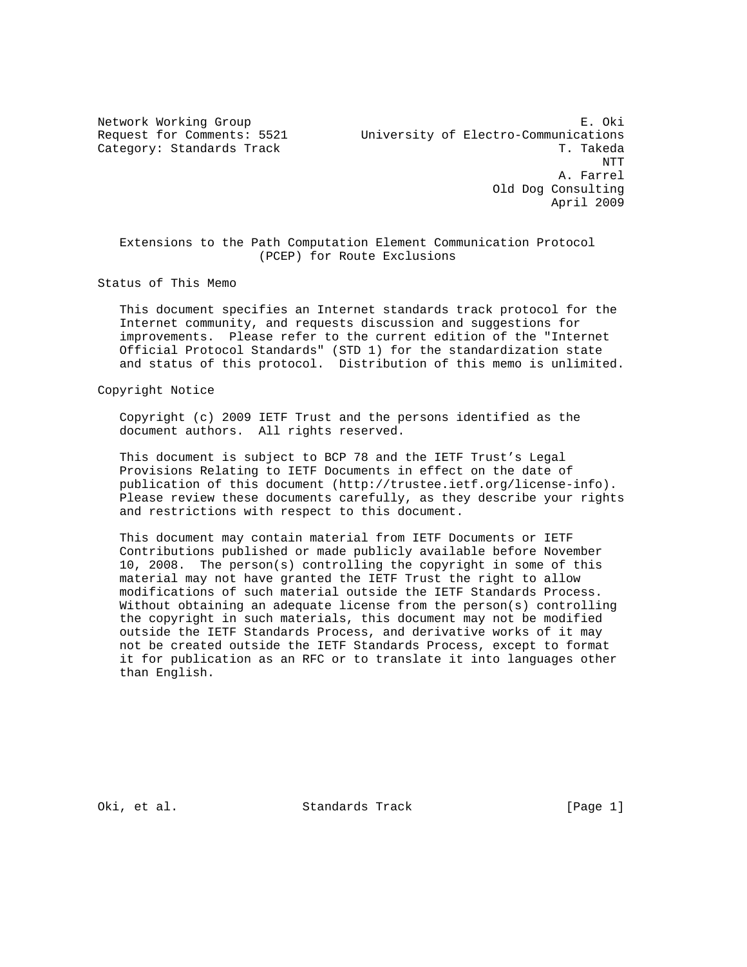Network Working Group **E. Oki** Request for Comments: 5521 University of Electro-Communications Category: Standards Track T. Takeda NTT A. Farrel Old Dog Consulting April 2009

 Extensions to the Path Computation Element Communication Protocol (PCEP) for Route Exclusions

Status of This Memo

 This document specifies an Internet standards track protocol for the Internet community, and requests discussion and suggestions for improvements. Please refer to the current edition of the "Internet Official Protocol Standards" (STD 1) for the standardization state and status of this protocol. Distribution of this memo is unlimited.

Copyright Notice

 Copyright (c) 2009 IETF Trust and the persons identified as the document authors. All rights reserved.

 This document is subject to BCP 78 and the IETF Trust's Legal Provisions Relating to IETF Documents in effect on the date of publication of this document (http://trustee.ietf.org/license-info). Please review these documents carefully, as they describe your rights and restrictions with respect to this document.

 This document may contain material from IETF Documents or IETF Contributions published or made publicly available before November 10, 2008. The person(s) controlling the copyright in some of this material may not have granted the IETF Trust the right to allow modifications of such material outside the IETF Standards Process. Without obtaining an adequate license from the person(s) controlling the copyright in such materials, this document may not be modified outside the IETF Standards Process, and derivative works of it may not be created outside the IETF Standards Process, except to format it for publication as an RFC or to translate it into languages other than English.

Oki, et al. Standards Track [Page 1]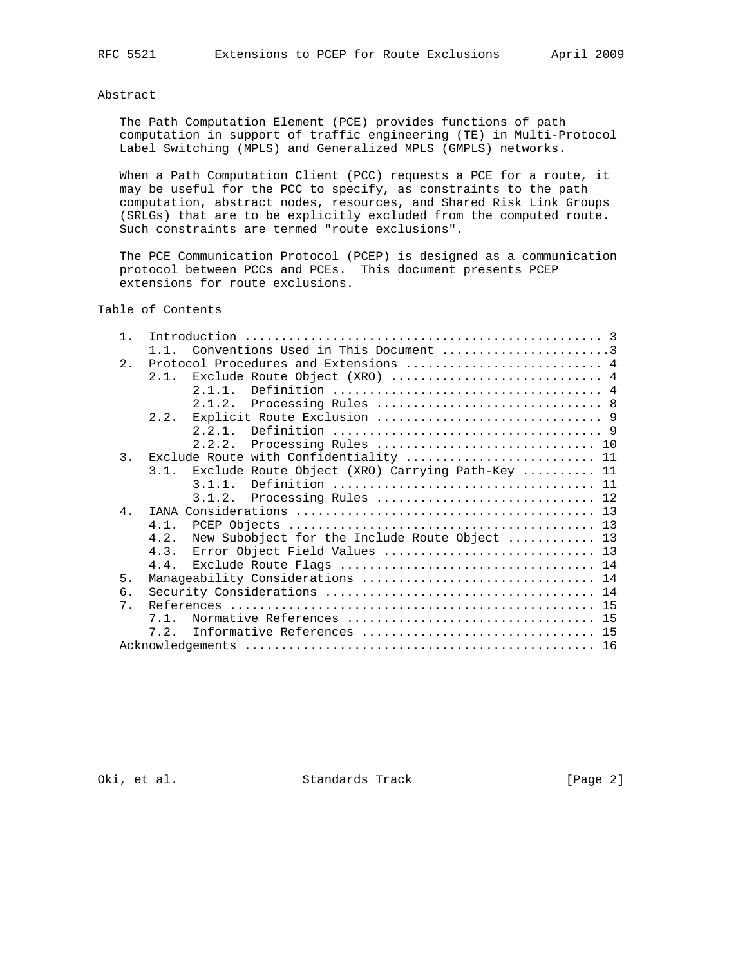# Abstract

 The Path Computation Element (PCE) provides functions of path computation in support of traffic engineering (TE) in Multi-Protocol Label Switching (MPLS) and Generalized MPLS (GMPLS) networks.

 When a Path Computation Client (PCC) requests a PCE for a route, it may be useful for the PCC to specify, as constraints to the path computation, abstract nodes, resources, and Shared Risk Link Groups (SRLGs) that are to be explicitly excluded from the computed route. Such constraints are termed "route exclusions".

 The PCE Communication Protocol (PCEP) is designed as a communication protocol between PCCs and PCEs. This document presents PCEP extensions for route exclusions.

Table of Contents

| $\mathbf{1}$   |      |                                                  |
|----------------|------|--------------------------------------------------|
|                |      | Conventions Used in This Document 3              |
| 2.             |      | Protocol Procedures and Extensions  4            |
|                | 2.1. | Exclude Route Object (XRO)  4                    |
|                |      | 2.1.1.                                           |
|                |      | Processing Rules  8<br>2.1.2.                    |
|                | 2.2. |                                                  |
|                |      |                                                  |
|                |      | 2.2.2.                                           |
| 3.             |      | Exclude Route with Confidentiality  11           |
|                | 3.1. | Exclude Route Object (XRO) Carrying Path-Key  11 |
|                |      | $3.1.1$ .                                        |
|                |      | Processing Rules  12<br>3.1.2.                   |
| 4 <sub>1</sub> |      |                                                  |
|                | 4.1. |                                                  |
|                | 4.2. | New Subobject for the Include Route Object  13   |
|                | 4.3. | Error Object Field Values  13                    |
|                | 4.4. |                                                  |
| 5.             |      | Manageability Considerations  14                 |
| 6.             |      |                                                  |
| $7$ .          |      |                                                  |
|                | 7 1  |                                                  |
|                | 7.2. | Informative References  15                       |
|                |      |                                                  |

Oki, et al. Standards Track [Page 2]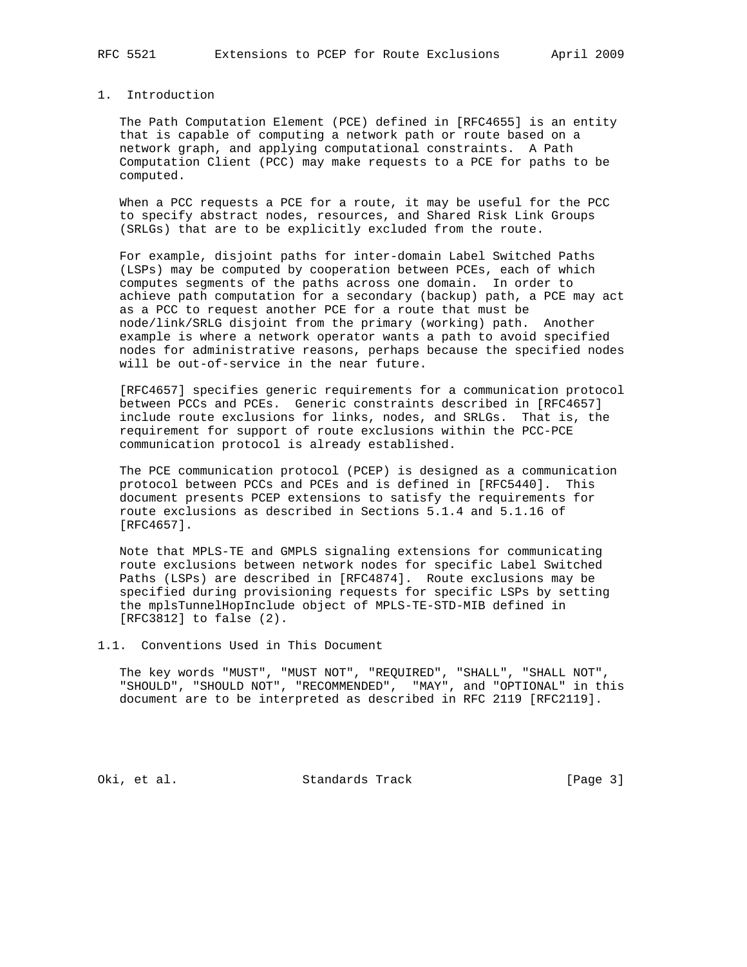# 1. Introduction

 The Path Computation Element (PCE) defined in [RFC4655] is an entity that is capable of computing a network path or route based on a network graph, and applying computational constraints. A Path Computation Client (PCC) may make requests to a PCE for paths to be computed.

 When a PCC requests a PCE for a route, it may be useful for the PCC to specify abstract nodes, resources, and Shared Risk Link Groups (SRLGs) that are to be explicitly excluded from the route.

 For example, disjoint paths for inter-domain Label Switched Paths (LSPs) may be computed by cooperation between PCEs, each of which computes segments of the paths across one domain. In order to achieve path computation for a secondary (backup) path, a PCE may act as a PCC to request another PCE for a route that must be node/link/SRLG disjoint from the primary (working) path. Another example is where a network operator wants a path to avoid specified nodes for administrative reasons, perhaps because the specified nodes will be out-of-service in the near future.

 [RFC4657] specifies generic requirements for a communication protocol between PCCs and PCEs. Generic constraints described in [RFC4657] include route exclusions for links, nodes, and SRLGs. That is, the requirement for support of route exclusions within the PCC-PCE communication protocol is already established.

 The PCE communication protocol (PCEP) is designed as a communication protocol between PCCs and PCEs and is defined in [RFC5440]. This document presents PCEP extensions to satisfy the requirements for route exclusions as described in Sections 5.1.4 and 5.1.16 of [RFC4657].

 Note that MPLS-TE and GMPLS signaling extensions for communicating route exclusions between network nodes for specific Label Switched Paths (LSPs) are described in [RFC4874]. Route exclusions may be specified during provisioning requests for specific LSPs by setting the mplsTunnelHopInclude object of MPLS-TE-STD-MIB defined in [RFC3812] to false (2).

1.1. Conventions Used in This Document

 The key words "MUST", "MUST NOT", "REQUIRED", "SHALL", "SHALL NOT", "SHOULD", "SHOULD NOT", "RECOMMENDED", "MAY", and "OPTIONAL" in this document are to be interpreted as described in RFC 2119 [RFC2119].

Oki, et al. Standards Track [Page 3]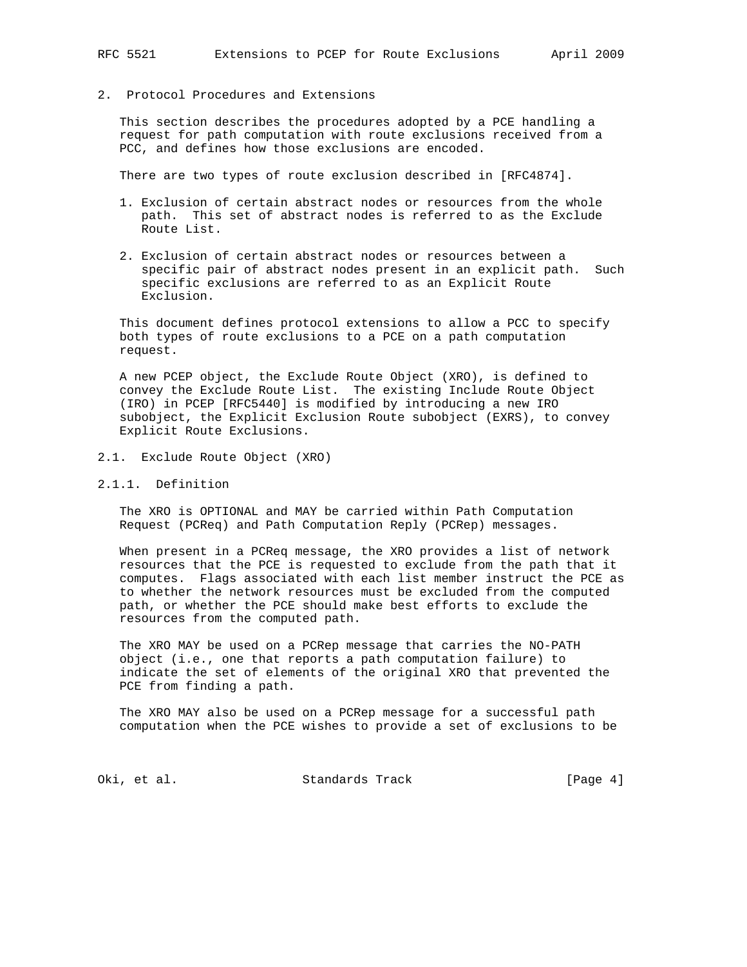# 2. Protocol Procedures and Extensions

 This section describes the procedures adopted by a PCE handling a request for path computation with route exclusions received from a PCC, and defines how those exclusions are encoded.

There are two types of route exclusion described in [RFC4874].

- 1. Exclusion of certain abstract nodes or resources from the whole path. This set of abstract nodes is referred to as the Exclude Route List.
- 2. Exclusion of certain abstract nodes or resources between a specific pair of abstract nodes present in an explicit path. Such specific exclusions are referred to as an Explicit Route Exclusion.

 This document defines protocol extensions to allow a PCC to specify both types of route exclusions to a PCE on a path computation request.

 A new PCEP object, the Exclude Route Object (XRO), is defined to convey the Exclude Route List. The existing Include Route Object (IRO) in PCEP [RFC5440] is modified by introducing a new IRO subobject, the Explicit Exclusion Route subobject (EXRS), to convey Explicit Route Exclusions.

- 2.1. Exclude Route Object (XRO)
- 2.1.1. Definition

 The XRO is OPTIONAL and MAY be carried within Path Computation Request (PCReq) and Path Computation Reply (PCRep) messages.

 When present in a PCReq message, the XRO provides a list of network resources that the PCE is requested to exclude from the path that it computes. Flags associated with each list member instruct the PCE as to whether the network resources must be excluded from the computed path, or whether the PCE should make best efforts to exclude the resources from the computed path.

 The XRO MAY be used on a PCRep message that carries the NO-PATH object (i.e., one that reports a path computation failure) to indicate the set of elements of the original XRO that prevented the PCE from finding a path.

 The XRO MAY also be used on a PCRep message for a successful path computation when the PCE wishes to provide a set of exclusions to be

Oki, et al. Standards Track [Page 4]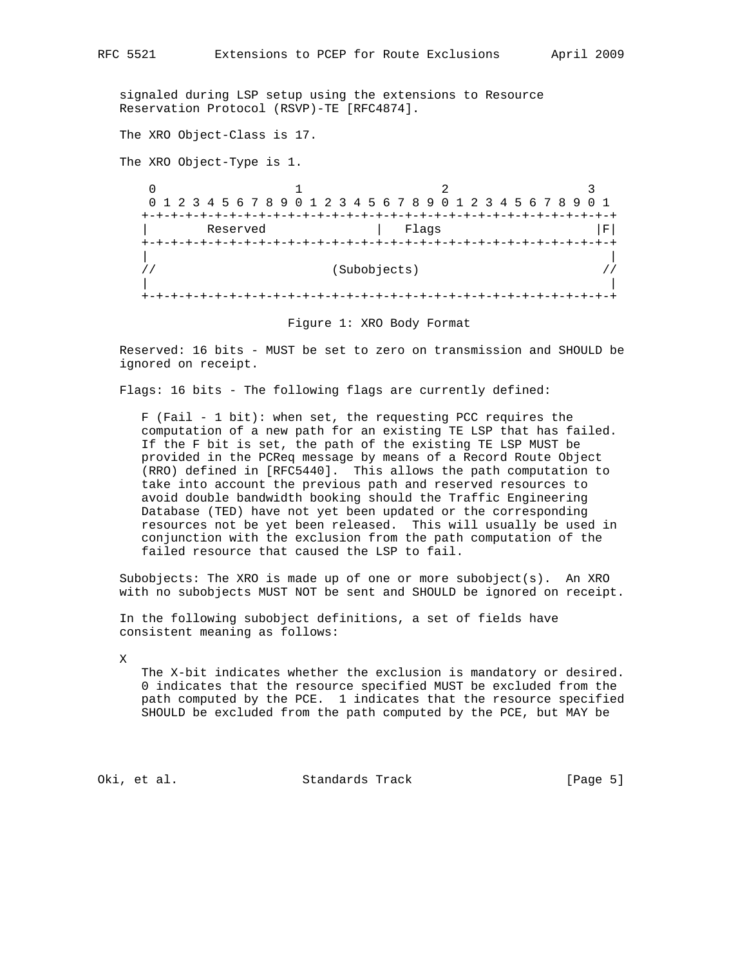signaled during LSP setup using the extensions to Resource Reservation Protocol (RSVP)-TE [RFC4874].

The XRO Object-Class is 17.

The XRO Object-Type is 1.

 $\begin{array}{ccc} 0 & 1 & 2 \end{array}$  0 1 2 3 4 5 6 7 8 9 0 1 2 3 4 5 6 7 8 9 0 1 2 3 4 5 6 7 8 9 0 1 +-+-+-+-+-+-+-+-+-+-+-+-+-+-+-+-+-+-+-+-+-+-+-+-+-+-+-+-+-+-+-+-+ Reserved | Flags | | Flags +-+-+-+-+-+-+-+-+-+-+-+-+-+-+-+-+-+-+-+-+-+-+-+-+-+-+-+-+-+-+-+-+ | |  $\frac{1}{2}$ //  $\frac{1}{2}$  (Subobjects)  $\frac{1}{2}$  (Subobjects)  $\frac{1}{2}$  | | +-+-+-+-+-+-+-+-+-+-+-+-+-+-+-+-+-+-+-+-+-+-+-+-+-+-+-+-+-+-+-+-+

Figure 1: XRO Body Format

 Reserved: 16 bits - MUST be set to zero on transmission and SHOULD be ignored on receipt.

Flags: 16 bits - The following flags are currently defined:

 F (Fail - 1 bit): when set, the requesting PCC requires the computation of a new path for an existing TE LSP that has failed. If the F bit is set, the path of the existing TE LSP MUST be provided in the PCReq message by means of a Record Route Object (RRO) defined in [RFC5440]. This allows the path computation to take into account the previous path and reserved resources to avoid double bandwidth booking should the Traffic Engineering Database (TED) have not yet been updated or the corresponding resources not be yet been released. This will usually be used in conjunction with the exclusion from the path computation of the failed resource that caused the LSP to fail.

 Subobjects: The XRO is made up of one or more subobject(s). An XRO with no subobjects MUST NOT be sent and SHOULD be ignored on receipt.

 In the following subobject definitions, a set of fields have consistent meaning as follows:

X

 The X-bit indicates whether the exclusion is mandatory or desired. 0 indicates that the resource specified MUST be excluded from the path computed by the PCE. 1 indicates that the resource specified SHOULD be excluded from the path computed by the PCE, but MAY be

Oki, et al. Standards Track [Page 5]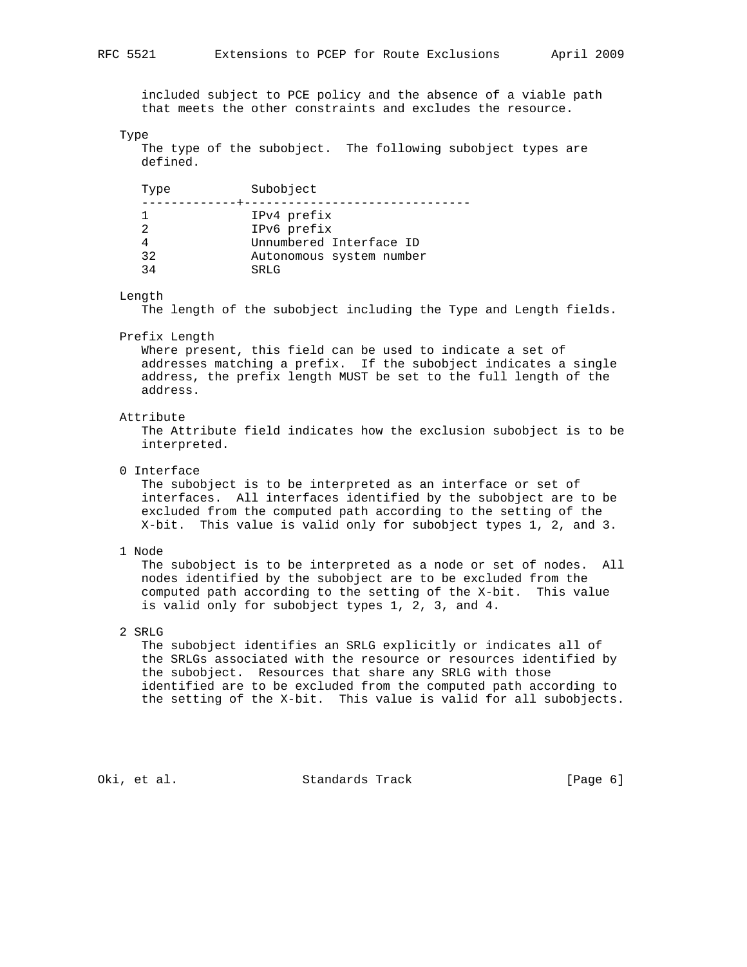included subject to PCE policy and the absence of a viable path that meets the other constraints and excludes the resource.

#### Type

 The type of the subobject. The following subobject types are defined.

| Type     | Subobject                        |
|----------|----------------------------------|
|          | IPv4 prefix<br>IPv6 prefix       |
|          | Unnumbered Interface ID          |
| 32<br>34 | Autonomous system number<br>SRLG |

#### Length

The length of the subobject including the Type and Length fields.

#### Prefix Length

 Where present, this field can be used to indicate a set of addresses matching a prefix. If the subobject indicates a single address, the prefix length MUST be set to the full length of the address.

#### Attribute

 The Attribute field indicates how the exclusion subobject is to be interpreted.

## 0 Interface

 The subobject is to be interpreted as an interface or set of interfaces. All interfaces identified by the subobject are to be excluded from the computed path according to the setting of the X-bit. This value is valid only for subobject types 1, 2, and 3.

#### 1 Node

 The subobject is to be interpreted as a node or set of nodes. All nodes identified by the subobject are to be excluded from the computed path according to the setting of the X-bit. This value is valid only for subobject types 1, 2, 3, and 4.

## 2 SRLG

 The subobject identifies an SRLG explicitly or indicates all of the SRLGs associated with the resource or resources identified by the subobject. Resources that share any SRLG with those identified are to be excluded from the computed path according to the setting of the X-bit. This value is valid for all subobjects.

# Oki, et al. Standards Track [Page 6]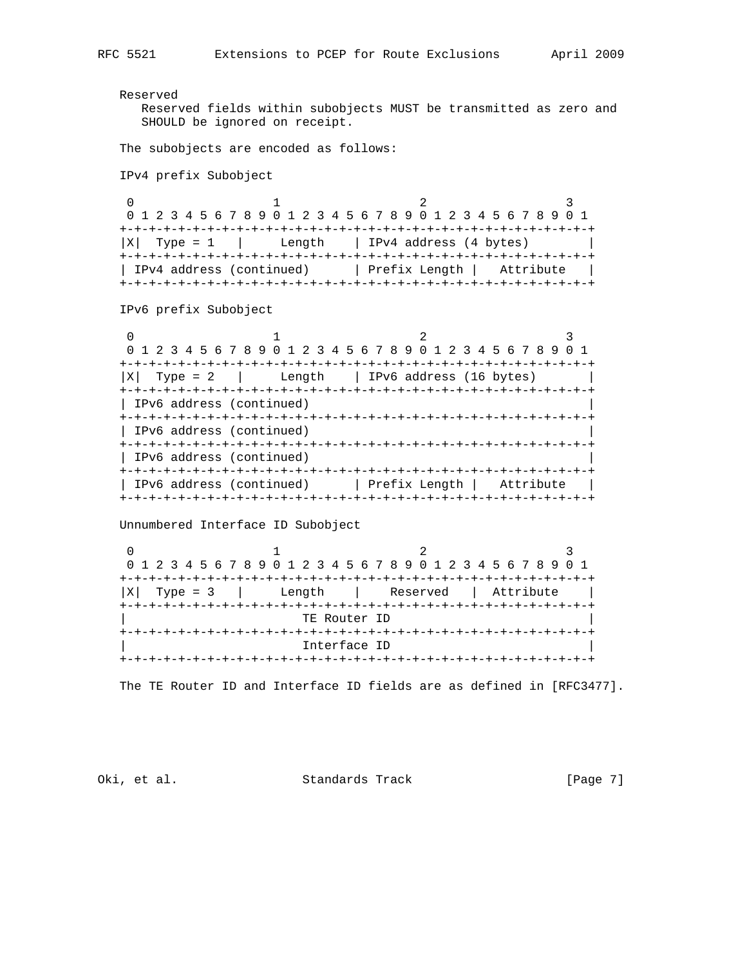Reserved Reserved fields within subobjects MUST be transmitted as zero and SHOULD be ignored on receipt. The subobjects are encoded as follows: IPv4 prefix Subobject 0  $1$  2 3 0 1 2 3 4 5 6 7 8 9 0 1 2 3 4 5 6 7 8 9 0 1 2 3 4 5 6 7 8 9 0 1 +-+-+-+-+-+-+-+-+-+-+-+-+-+-+-+-+-+-+-+-+-+-+-+-+-+-+-+-+-+-+-+-+  $|X|$  Type = 1 | Length | IPv4 address (4 bytes) +-+-+-+-+-+-+-+-+-+-+-+-+-+-+-+-+-+-+-+-+-+-+-+-+-+-+-+-+-+-+-+-+ | IPv4 address (continued) | Prefix Length | Attribute +-+-+-+-+-+-+-+-+-+-+-+-+-+-+-+-+-+-+-+-+-+-+-+-+-+-+-+-+-+-+-+-+ IPv6 prefix Subobject 0  $1$  2 3 0 1 2 3 4 5 6 7 8 9 0 1 2 3 4 5 6 7 8 9 0 1 2 3 4 5 6 7 8 9 0 1 +-+-+-+-+-+-+-+-+-+-+-+-+-+-+-+-+-+-+-+-+-+-+-+-+-+-+-+-+-+-+-+-+  $|X|$  Type = 2 | Length | IPv6 address (16 bytes) | +-+-+-+-+-+-+-+-+-+-+-+-+-+-+-+-+-+-+-+-+-+-+-+-+-+-+-+-+-+-+-+-+ | IPv6 address (continued) | +-+-+-+-+-+-+-+-+-+-+-+-+-+-+-+-+-+-+-+-+-+-+-+-+-+-+-+-+-+-+-+-+ | IPv6 address (continued) | +-+-+-+-+-+-+-+-+-+-+-+-+-+-+-+-+-+-+-+-+-+-+-+-+-+-+-+-+-+-+-+-+ | IPv6 address (continued) | +-+-+-+-+-+-+-+-+-+-+-+-+-+-+-+-+-+-+-+-+-+-+-+-+-+-+-+-+-+-+-+-+ | IPv6 address (continued) | Prefix Length | Attribute | +-+-+-+-+-+-+-+-+-+-+-+-+-+-+-+-+-+-+-+-+-+-+-+-+-+-+-+-+-+-+-+-+ Unnumbered Interface ID Subobject  $\begin{array}{ccccccc} 0 & & & & 1 & & & & 2 & & & 3 \end{array}$  0 1 2 3 4 5 6 7 8 9 0 1 2 3 4 5 6 7 8 9 0 1 2 3 4 5 6 7 8 9 0 1 +-+-+-+-+-+-+-+-+-+-+-+-+-+-+-+-+-+-+-+-+-+-+-+-+-+-+-+-+-+-+-+-+  $|X|$  Type = 3 | Length | Reserved | Attribute +-+-+-+-+-+-+-+-+-+-+-+-+-+-+-+-+-+-+-+-+-+-+-+-+-+-+-+-+-+-+-+-+ TE Router ID +-+-+-+-+-+-+-+-+-+-+-+-+-+-+-+-+-+-+-+-+-+-+-+-+-+-+-+-+-+-+-+-+ | Interface ID | +-+-+-+-+-+-+-+-+-+-+-+-+-+-+-+-+-+-+-+-+-+-+-+-+-+-+-+-+-+-+-+-+ The TE Router ID and Interface ID fields are as defined in [RFC3477].

Oki, et al. Standards Track [Page 7]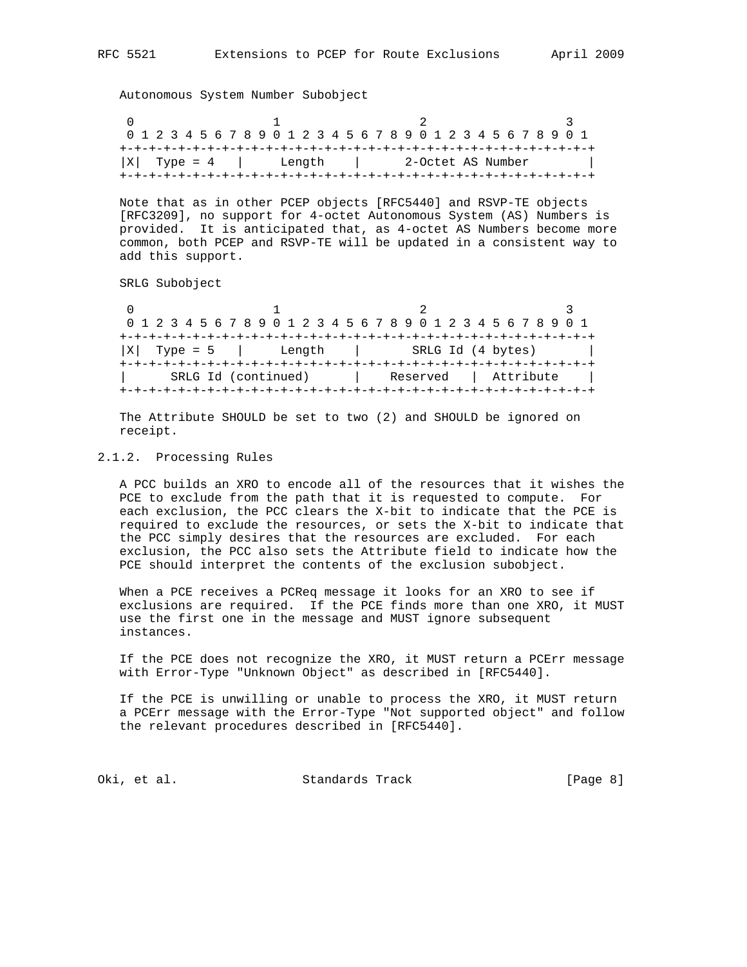Autonomous System Number Subobject

| 0 1 2 3 4 5 6 7 8 9 0 1 2 3 4 5 6 7 8 9 0 1 2 3 4 5 6 7 8 9 0 1 |  |  |  |  |                   |  |  |  |  |  |  |  |  |  |  |  |  |  |  |  |
|-----------------------------------------------------------------|--|--|--|--|-------------------|--|--|--|--|--|--|--|--|--|--|--|--|--|--|--|
|                                                                 |  |  |  |  |                   |  |  |  |  |  |  |  |  |  |  |  |  |  |  |  |
| $ X $ Type = 4 $ $ Length $ $                                   |  |  |  |  | 2-Octet AS Number |  |  |  |  |  |  |  |  |  |  |  |  |  |  |  |
|                                                                 |  |  |  |  |                   |  |  |  |  |  |  |  |  |  |  |  |  |  |  |  |

 Note that as in other PCEP objects [RFC5440] and RSVP-TE objects [RFC3209], no support for 4-octet Autonomous System (AS) Numbers is provided. It is anticipated that, as 4-octet AS Numbers become more common, both PCEP and RSVP-TE will be updated in a consistent way to add this support.

SRLG Subobject

|                   |                     | 0 1 2 3 4 5 6 7 8 9 0 1 2 3 4 5 6 7 8 9 0 1 2 3 4 5 6 7 8 9 0 1 |           |
|-------------------|---------------------|-----------------------------------------------------------------|-----------|
| Type = $5$<br>  X | Length              | SRLG Id (4 bytes)                                               |           |
|                   | SRLG Id (continued) | Reserved                                                        | Attribute |

 The Attribute SHOULD be set to two (2) and SHOULD be ignored on receipt.

## 2.1.2. Processing Rules

 A PCC builds an XRO to encode all of the resources that it wishes the PCE to exclude from the path that it is requested to compute. For each exclusion, the PCC clears the X-bit to indicate that the PCE is required to exclude the resources, or sets the X-bit to indicate that the PCC simply desires that the resources are excluded. For each exclusion, the PCC also sets the Attribute field to indicate how the PCE should interpret the contents of the exclusion subobject.

 When a PCE receives a PCReq message it looks for an XRO to see if exclusions are required. If the PCE finds more than one XRO, it MUST use the first one in the message and MUST ignore subsequent instances.

 If the PCE does not recognize the XRO, it MUST return a PCErr message with Error-Type "Unknown Object" as described in [RFC5440].

 If the PCE is unwilling or unable to process the XRO, it MUST return a PCErr message with the Error-Type "Not supported object" and follow the relevant procedures described in [RFC5440].

Oki, et al. Standards Track (Page 8)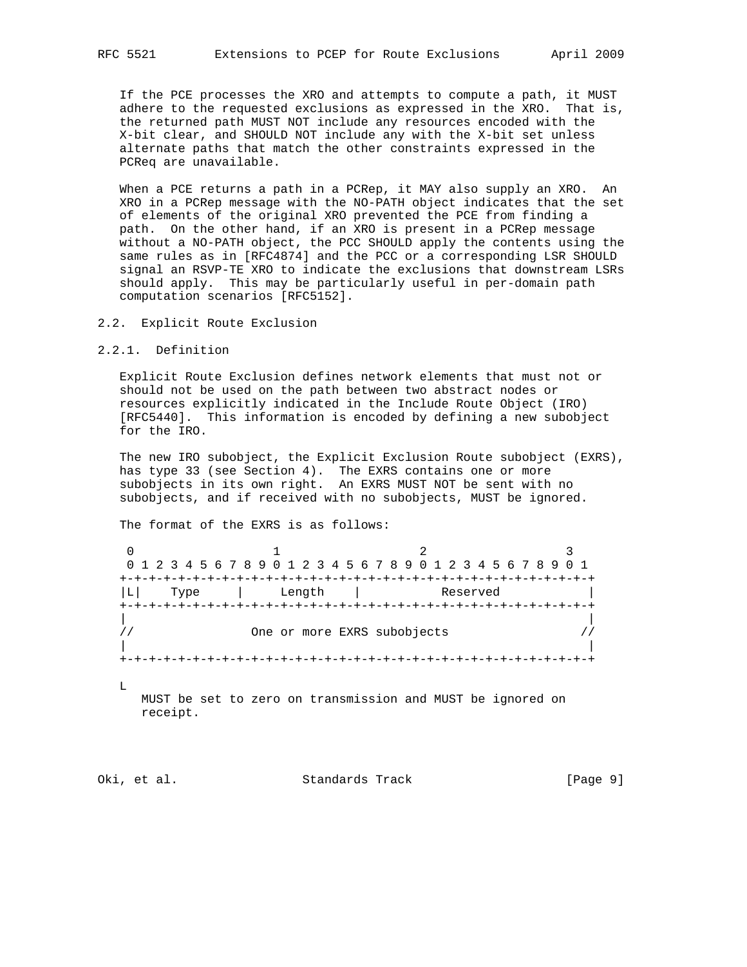If the PCE processes the XRO and attempts to compute a path, it MUST adhere to the requested exclusions as expressed in the XRO. That is, the returned path MUST NOT include any resources encoded with the X-bit clear, and SHOULD NOT include any with the X-bit set unless alternate paths that match the other constraints expressed in the PCReq are unavailable.

 When a PCE returns a path in a PCRep, it MAY also supply an XRO. An XRO in a PCRep message with the NO-PATH object indicates that the set of elements of the original XRO prevented the PCE from finding a path. On the other hand, if an XRO is present in a PCRep message without a NO-PATH object, the PCC SHOULD apply the contents using the same rules as in [RFC4874] and the PCC or a corresponding LSR SHOULD signal an RSVP-TE XRO to indicate the exclusions that downstream LSRs should apply. This may be particularly useful in per-domain path computation scenarios [RFC5152].

## 2.2. Explicit Route Exclusion

#### 2.2.1. Definition

 Explicit Route Exclusion defines network elements that must not or should not be used on the path between two abstract nodes or resources explicitly indicated in the Include Route Object (IRO) [RFC5440]. This information is encoded by defining a new subobject for the IRO.

 The new IRO subobject, the Explicit Exclusion Route subobject (EXRS), has type 33 (see Section 4). The EXRS contains one or more subobjects in its own right. An EXRS MUST NOT be sent with no subobjects, and if received with no subobjects, MUST be ignored.

The format of the EXRS is as follows:

| Type | +-+-+-+-+-+-+-+-+<br>Length | Reserved |  |
|------|-----------------------------|----------|--|
|      |                             |          |  |
|      |                             |          |  |
|      |                             |          |  |
|      | One or more EXRS subobjects |          |  |

 $\mathbb L$ 

 MUST be set to zero on transmission and MUST be ignored on receipt.

Oki, et al. Standards Track [Page 9]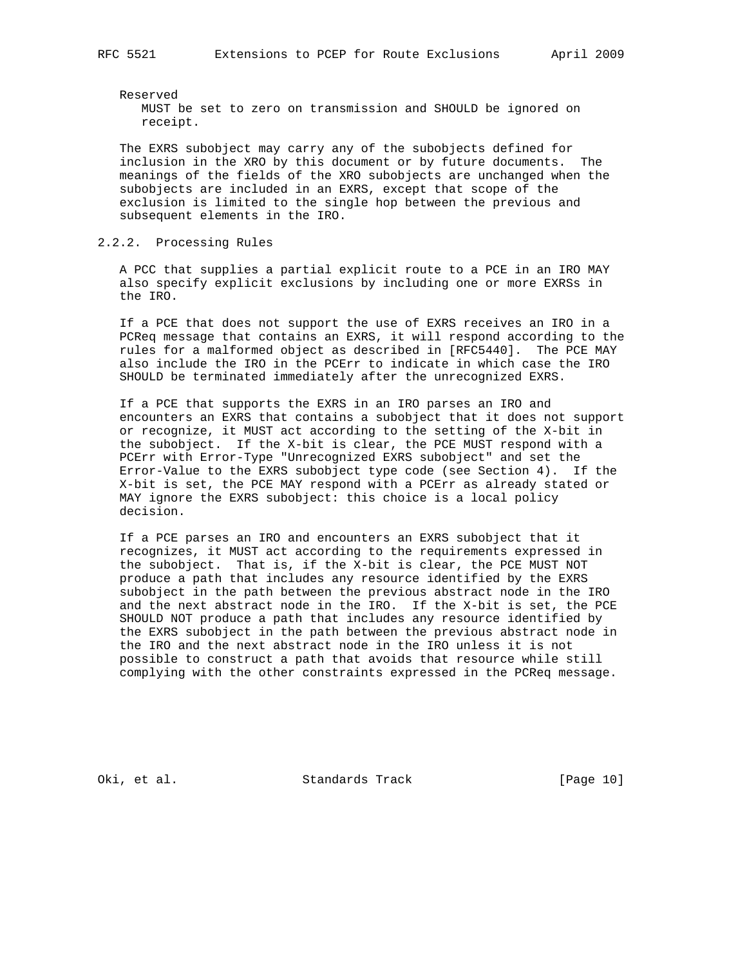Reserved MUST be set to zero on transmission and SHOULD be ignored on receipt.

 The EXRS subobject may carry any of the subobjects defined for inclusion in the XRO by this document or by future documents. The meanings of the fields of the XRO subobjects are unchanged when the subobjects are included in an EXRS, except that scope of the exclusion is limited to the single hop between the previous and subsequent elements in the IRO.

# 2.2.2. Processing Rules

 A PCC that supplies a partial explicit route to a PCE in an IRO MAY also specify explicit exclusions by including one or more EXRSs in the IRO.

 If a PCE that does not support the use of EXRS receives an IRO in a PCReq message that contains an EXRS, it will respond according to the rules for a malformed object as described in [RFC5440]. The PCE MAY also include the IRO in the PCErr to indicate in which case the IRO SHOULD be terminated immediately after the unrecognized EXRS.

 If a PCE that supports the EXRS in an IRO parses an IRO and encounters an EXRS that contains a subobject that it does not support or recognize, it MUST act according to the setting of the X-bit in the subobject. If the X-bit is clear, the PCE MUST respond with a PCErr with Error-Type "Unrecognized EXRS subobject" and set the Error-Value to the EXRS subobject type code (see Section 4). If the X-bit is set, the PCE MAY respond with a PCErr as already stated or MAY ignore the EXRS subobject: this choice is a local policy decision.

 If a PCE parses an IRO and encounters an EXRS subobject that it recognizes, it MUST act according to the requirements expressed in the subobject. That is, if the X-bit is clear, the PCE MUST NOT produce a path that includes any resource identified by the EXRS subobject in the path between the previous abstract node in the IRO and the next abstract node in the IRO. If the X-bit is set, the PCE SHOULD NOT produce a path that includes any resource identified by the EXRS subobject in the path between the previous abstract node in the IRO and the next abstract node in the IRO unless it is not possible to construct a path that avoids that resource while still complying with the other constraints expressed in the PCReq message.

Oki, et al. Standards Track [Page 10]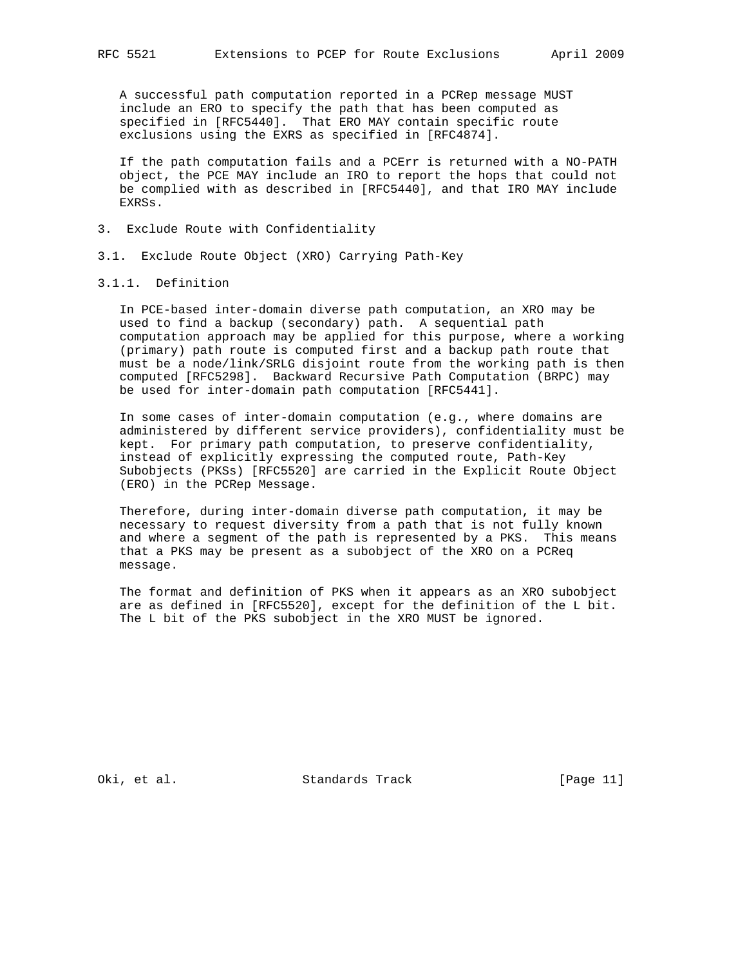A successful path computation reported in a PCRep message MUST include an ERO to specify the path that has been computed as specified in [RFC5440]. That ERO MAY contain specific route exclusions using the EXRS as specified in [RFC4874].

 If the path computation fails and a PCErr is returned with a NO-PATH object, the PCE MAY include an IRO to report the hops that could not be complied with as described in [RFC5440], and that IRO MAY include EXRSs.

- 3. Exclude Route with Confidentiality
- 3.1. Exclude Route Object (XRO) Carrying Path-Key

## 3.1.1. Definition

 In PCE-based inter-domain diverse path computation, an XRO may be used to find a backup (secondary) path. A sequential path computation approach may be applied for this purpose, where a working (primary) path route is computed first and a backup path route that must be a node/link/SRLG disjoint route from the working path is then computed [RFC5298]. Backward Recursive Path Computation (BRPC) may be used for inter-domain path computation [RFC5441].

 In some cases of inter-domain computation (e.g., where domains are administered by different service providers), confidentiality must be kept. For primary path computation, to preserve confidentiality, instead of explicitly expressing the computed route, Path-Key Subobjects (PKSs) [RFC5520] are carried in the Explicit Route Object (ERO) in the PCRep Message.

 Therefore, during inter-domain diverse path computation, it may be necessary to request diversity from a path that is not fully known and where a segment of the path is represented by a PKS. This means that a PKS may be present as a subobject of the XRO on a PCReq message.

 The format and definition of PKS when it appears as an XRO subobject are as defined in [RFC5520], except for the definition of the L bit. The L bit of the PKS subobject in the XRO MUST be ignored.

Oki, et al. Standards Track [Page 11]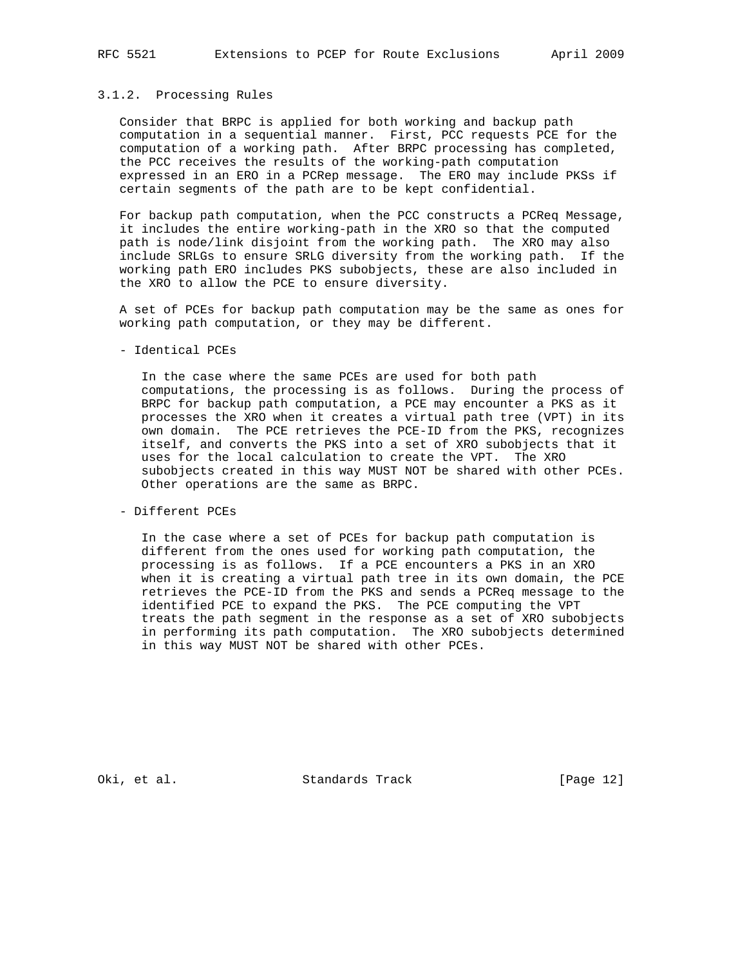## 3.1.2. Processing Rules

 Consider that BRPC is applied for both working and backup path computation in a sequential manner. First, PCC requests PCE for the computation of a working path. After BRPC processing has completed, the PCC receives the results of the working-path computation expressed in an ERO in a PCRep message. The ERO may include PKSs if certain segments of the path are to be kept confidential.

 For backup path computation, when the PCC constructs a PCReq Message, it includes the entire working-path in the XRO so that the computed path is node/link disjoint from the working path. The XRO may also include SRLGs to ensure SRLG diversity from the working path. If the working path ERO includes PKS subobjects, these are also included in the XRO to allow the PCE to ensure diversity.

 A set of PCEs for backup path computation may be the same as ones for working path computation, or they may be different.

- Identical PCEs

 In the case where the same PCEs are used for both path computations, the processing is as follows. During the process of BRPC for backup path computation, a PCE may encounter a PKS as it processes the XRO when it creates a virtual path tree (VPT) in its own domain. The PCE retrieves the PCE-ID from the PKS, recognizes itself, and converts the PKS into a set of XRO subobjects that it uses for the local calculation to create the VPT. The XRO subobjects created in this way MUST NOT be shared with other PCEs. Other operations are the same as BRPC.

- Different PCEs

 In the case where a set of PCEs for backup path computation is different from the ones used for working path computation, the processing is as follows. If a PCE encounters a PKS in an XRO when it is creating a virtual path tree in its own domain, the PCE retrieves the PCE-ID from the PKS and sends a PCReq message to the identified PCE to expand the PKS. The PCE computing the VPT treats the path segment in the response as a set of XRO subobjects in performing its path computation. The XRO subobjects determined in this way MUST NOT be shared with other PCEs.

Oki, et al. Standards Track [Page 12]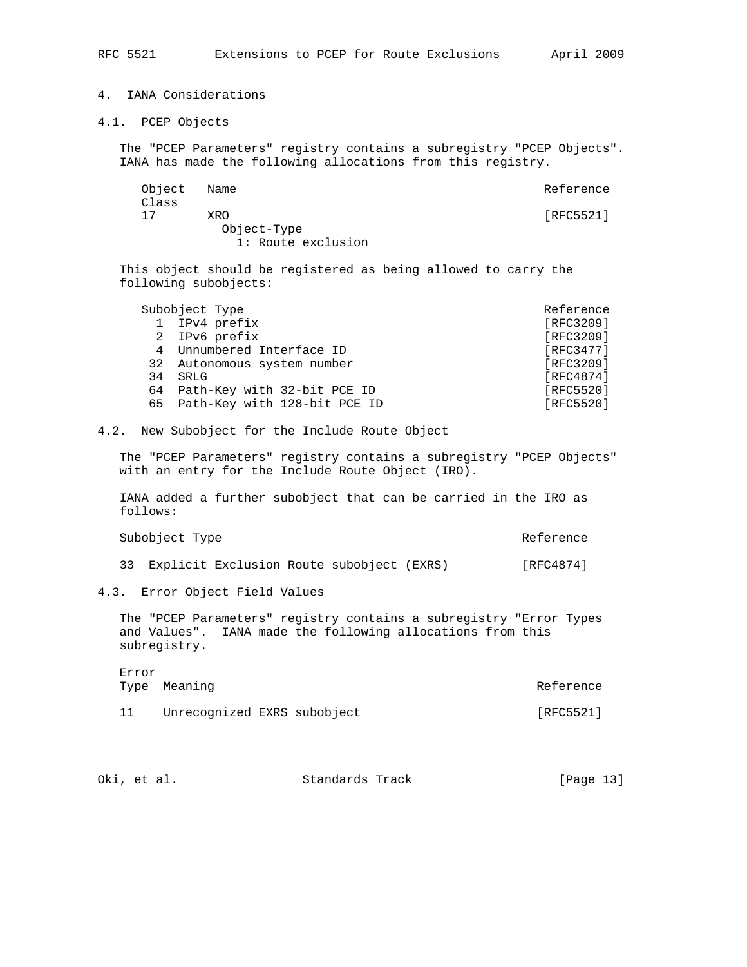# 4. IANA Considerations

4.1. PCEP Objects

 The "PCEP Parameters" registry contains a subregistry "PCEP Objects". IANA has made the following allocations from this registry.

| [RFC5521] |
|-----------|
|           |

 This object should be registered as being allowed to carry the following subobjects:

|              | Subobject Type                  | Reference |
|--------------|---------------------------------|-----------|
| $\mathbf{1}$ | IPv4 prefix                     | [RFC3209] |
|              | 2 IPv6 prefix                   | [RFC3209] |
|              | 4 Unnumbered Interface ID       | [REC3477] |
|              | 32 Autonomous system number     | [RFC3209] |
| 34           | SRLG                            | [RFC4874] |
|              | 64 Path-Key with 32-bit PCE ID  | [RFC5520] |
|              | 65 Path-Key with 128-bit PCE ID | [RFC5520] |

4.2. New Subobject for the Include Route Object

 The "PCEP Parameters" registry contains a subregistry "PCEP Objects" with an entry for the Include Route Object (IRO).

 IANA added a further subobject that can be carried in the IRO as follows:

| Subobject Type | Reference |
|----------------|-----------|
|----------------|-----------|

33 Explicit Exclusion Route subobject (EXRS) [RFC4874]

4.3. Error Object Field Values

 The "PCEP Parameters" registry contains a subregistry "Error Types and Values". IANA made the following allocations from this subregistry.

| Error | Type Meaning                | Reference |
|-------|-----------------------------|-----------|
|       | Unrecognized EXRS subobject | [RFC5521] |

| Oki, et al. | Standards Track | [Page 13] |
|-------------|-----------------|-----------|
|-------------|-----------------|-----------|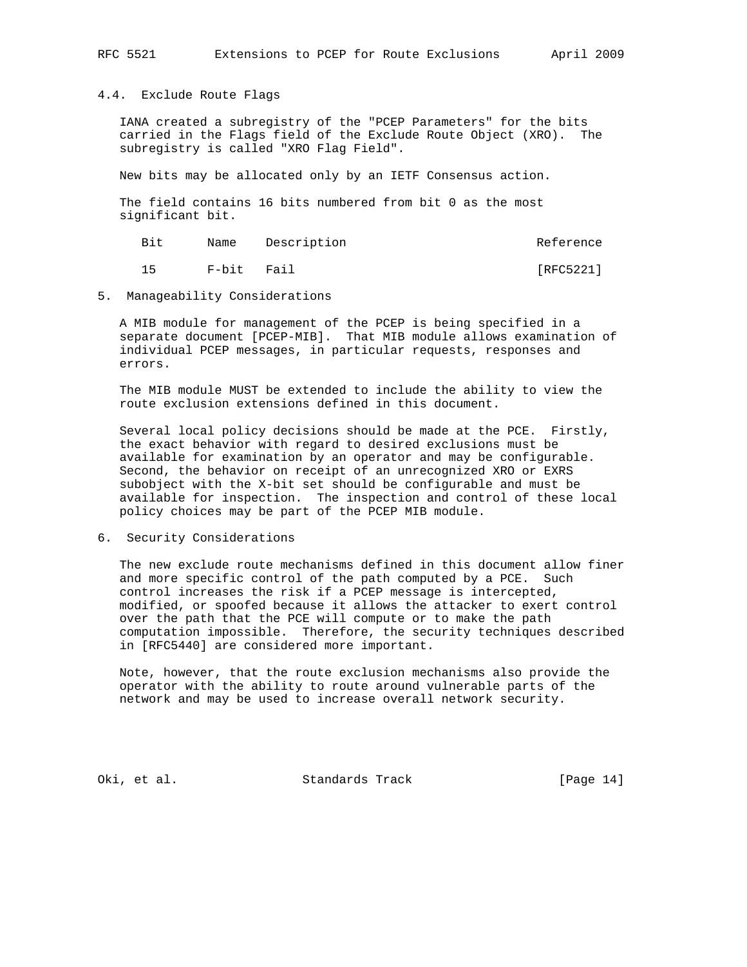## 4.4. Exclude Route Flags

 IANA created a subregistry of the "PCEP Parameters" for the bits carried in the Flags field of the Exclude Route Object (XRO). The subregistry is called "XRO Flag Field".

New bits may be allocated only by an IETF Consensus action.

 The field contains 16 bits numbered from bit 0 as the most significant bit.

| Bit |            | Name Description | Reference |
|-----|------------|------------------|-----------|
|     | F-bit Fail |                  | [RFC5221] |

## 5. Manageability Considerations

 A MIB module for management of the PCEP is being specified in a separate document [PCEP-MIB]. That MIB module allows examination of individual PCEP messages, in particular requests, responses and errors.

 The MIB module MUST be extended to include the ability to view the route exclusion extensions defined in this document.

 Several local policy decisions should be made at the PCE. Firstly, the exact behavior with regard to desired exclusions must be available for examination by an operator and may be configurable. Second, the behavior on receipt of an unrecognized XRO or EXRS subobject with the X-bit set should be configurable and must be available for inspection. The inspection and control of these local policy choices may be part of the PCEP MIB module.

# 6. Security Considerations

 The new exclude route mechanisms defined in this document allow finer and more specific control of the path computed by a PCE. Such control increases the risk if a PCEP message is intercepted, modified, or spoofed because it allows the attacker to exert control over the path that the PCE will compute or to make the path computation impossible. Therefore, the security techniques described in [RFC5440] are considered more important.

 Note, however, that the route exclusion mechanisms also provide the operator with the ability to route around vulnerable parts of the network and may be used to increase overall network security.

Oki, et al. Standards Track [Page 14]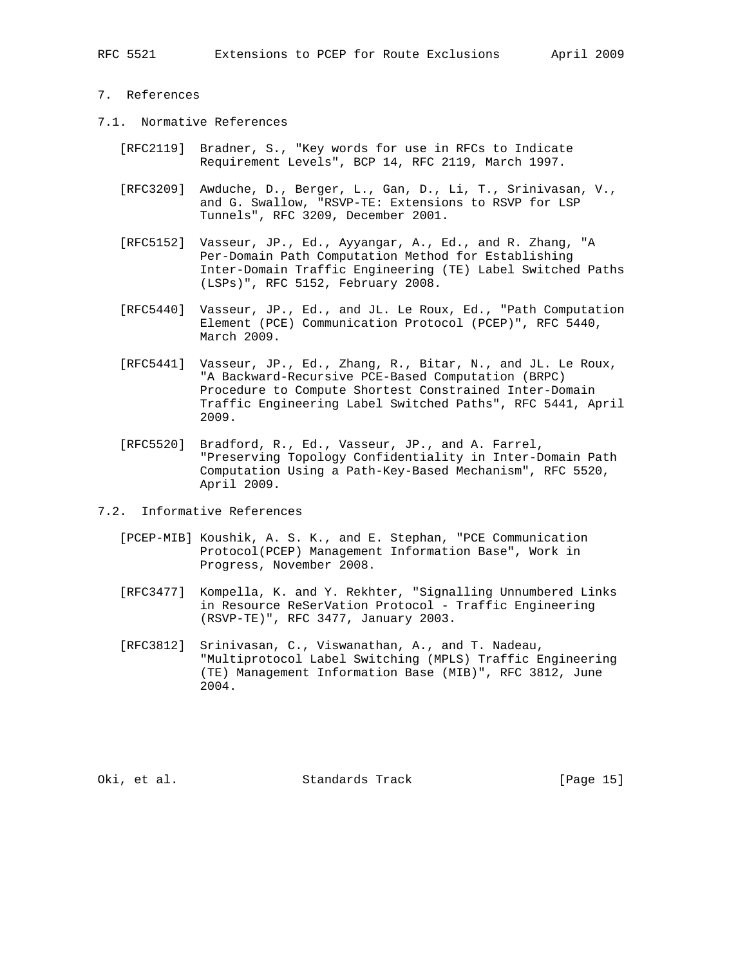# 7. References

- 7.1. Normative References
	- [RFC2119] Bradner, S., "Key words for use in RFCs to Indicate Requirement Levels", BCP 14, RFC 2119, March 1997.
	- [RFC3209] Awduche, D., Berger, L., Gan, D., Li, T., Srinivasan, V., and G. Swallow, "RSVP-TE: Extensions to RSVP for LSP Tunnels", RFC 3209, December 2001.
	- [RFC5152] Vasseur, JP., Ed., Ayyangar, A., Ed., and R. Zhang, "A Per-Domain Path Computation Method for Establishing Inter-Domain Traffic Engineering (TE) Label Switched Paths (LSPs)", RFC 5152, February 2008.
	- [RFC5440] Vasseur, JP., Ed., and JL. Le Roux, Ed., "Path Computation Element (PCE) Communication Protocol (PCEP)", RFC 5440, March 2009.
	- [RFC5441] Vasseur, JP., Ed., Zhang, R., Bitar, N., and JL. Le Roux, "A Backward-Recursive PCE-Based Computation (BRPC) Procedure to Compute Shortest Constrained Inter-Domain Traffic Engineering Label Switched Paths", RFC 5441, April 2009.
	- [RFC5520] Bradford, R., Ed., Vasseur, JP., and A. Farrel, "Preserving Topology Confidentiality in Inter-Domain Path Computation Using a Path-Key-Based Mechanism", RFC 5520, April 2009.
- 7.2. Informative References
	- [PCEP-MIB] Koushik, A. S. K., and E. Stephan, "PCE Communication Protocol(PCEP) Management Information Base", Work in Progress, November 2008.
	- [RFC3477] Kompella, K. and Y. Rekhter, "Signalling Unnumbered Links in Resource ReSerVation Protocol - Traffic Engineering (RSVP-TE)", RFC 3477, January 2003.
	- [RFC3812] Srinivasan, C., Viswanathan, A., and T. Nadeau, "Multiprotocol Label Switching (MPLS) Traffic Engineering (TE) Management Information Base (MIB)", RFC 3812, June 2004.

Oki, et al. Standards Track [Page 15]